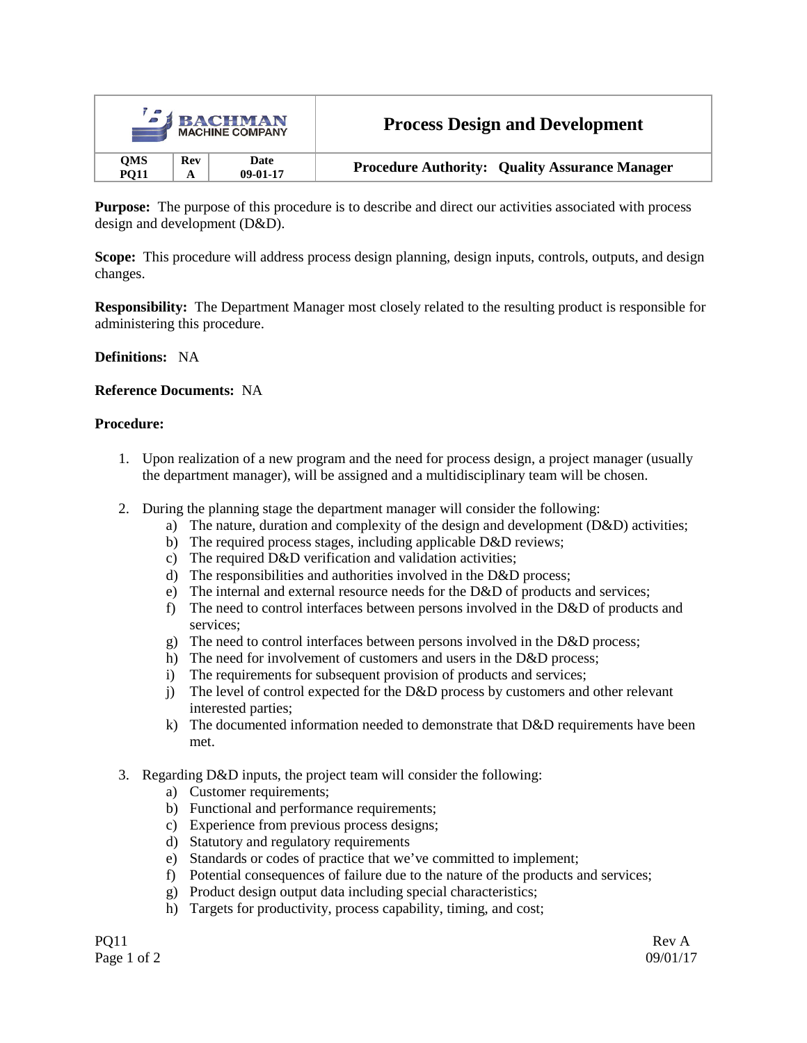|                           |     | <b>SI BACHMAN</b><br><b>MACHINE COMPANY</b> | <b>Process Design and Development</b>                 |  |
|---------------------------|-----|---------------------------------------------|-------------------------------------------------------|--|
| <b>QMS</b><br><b>PO11</b> | Rev | Date<br>$09-01-17$                          | <b>Procedure Authority: Quality Assurance Manager</b> |  |

**Purpose:** The purpose of this procedure is to describe and direct our activities associated with process design and development (D&D).

**Scope:** This procedure will address process design planning, design inputs, controls, outputs, and design changes.

**Responsibility:** The Department Manager most closely related to the resulting product is responsible for administering this procedure.

#### **Definitions:** NA

### **Reference Documents:** NA

#### **Procedure:**

- 1. Upon realization of a new program and the need for process design, a project manager (usually the department manager), will be assigned and a multidisciplinary team will be chosen.
- 2. During the planning stage the department manager will consider the following:
	- a) The nature, duration and complexity of the design and development (D&D) activities;
	- b) The required process stages, including applicable D&D reviews;
	- c) The required D&D verification and validation activities;
	- d) The responsibilities and authorities involved in the D&D process;
	- e) The internal and external resource needs for the D&D of products and services;
	- f) The need to control interfaces between persons involved in the D&D of products and services;
	- g) The need to control interfaces between persons involved in the D&D process;
	- h) The need for involvement of customers and users in the D&D process;
	- i) The requirements for subsequent provision of products and services;
	- j) The level of control expected for the D&D process by customers and other relevant interested parties;
	- k) The documented information needed to demonstrate that D&D requirements have been met.
- 3. Regarding D&D inputs, the project team will consider the following:
	- a) Customer requirements;
	- b) Functional and performance requirements;
	- c) Experience from previous process designs;
	- d) Statutory and regulatory requirements
	- e) Standards or codes of practice that we've committed to implement;
	- f) Potential consequences of failure due to the nature of the products and services;
	- g) Product design output data including special characteristics;
	- h) Targets for productivity, process capability, timing, and cost;